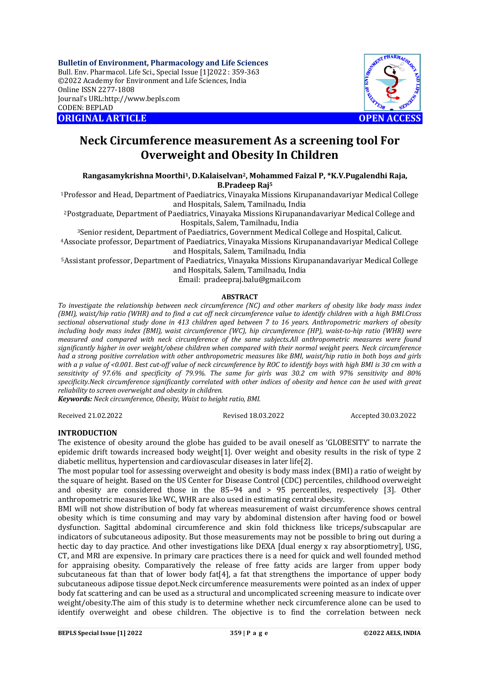**Bulletin of Environment, Pharmacology and Life Sciences** Bull. Env. Pharmacol. Life Sci., Special Issue [1]2022 : 359-363 ©2022 Academy for Environment and Life Sciences, India Online ISSN 2277-1808 Journal's URL:<http://www.bepls.com> CODEN: BEPLAD **ORIGINAL ARTICLE OPEN ACCESS** 



# **Neck Circumference measurement As a screening tool For Overweight and Obesity In Children**

**Rangasamykrishna Moorthi1, D.Kalaiselvan2, Mohammed Faizal P, \*K.V.Pugalendhi Raja, B.Pradeep Raj<sup>5</sup>**

<sup>1</sup>Professor and Head, Department of Paediatrics, Vinayaka Missions Kirupanandavariyar Medical College and Hospitals, Salem, Tamilnadu, India

<sup>2</sup>Postgraduate, Department of Paediatrics, Vinayaka Missions Kirupanandavariyar Medical College and Hospitals, Salem, Tamilnadu, India

<sup>3</sup>Senior resident, Department of Paediatrics, Government Medical College and Hospital, Calicut.

<sup>4</sup>Associate professor, Department of Paediatrics, Vinayaka Missions Kirupanandavariyar Medical College and Hospitals, Salem, Tamilnadu, India

<sup>5</sup>Assistant professor, Department of Paediatrics, Vinayaka Missions Kirupanandavariyar Medical College and Hospitals, Salem, Tamilnadu, India

Email: [pradeepraj.balu@gmail.com](mailto:pradeepraj.balu@gmail.com)

## **ABSTRACT**

*To investigate the relationship between neck circumference (NC) and other markers of obesity like body mass index (BMI), waist/hip ratio (WHR) and to find a cut off neck circumference value to identify children with a high BMI.Cross sectional observational study done in 413 children aged between 7 to 16 years. Anthropometric markers of obesity including body mass index (BMI), waist circumference (WC), hip circumference (HP), waist-to-hip ratio (WHR) were measured and compared with neck circumference of the same subjects.All anthropometric measures were found significantly higher in over weight/obese children when compared with their normal weight peers. Neck circumference had a strong positive correlation with other anthropometric measures like BMI, waist/hip ratio in both boys and girls with a p value of <0.001. Best cut-off value of neck circumference by ROC to identify boys with high BMI is 30 cm with a sensitivity of 97.6% and specificity of 79.9%. The same for girls was 30.2 cm with 97% sensitivity and 80% specificity.Neck circumference significantly correlated with other indices of obesity and hence can be used with great reliability to screen overweight and obesity in children.*

*Keywords: Neck circumference, Obesity, Waist to height ratio, BMI.*

Received 21.02.2022 Revised 18.03.2022 Accepted 30.03.2022

## **INTRODUCTION**

The existence of obesity around the globe has guided to be avail oneself as 'GLOBESITY' to narrate the epidemic drift towards increased body weight[1]. Over weight and obesity results in the risk of type 2 diabetic mellitus, hypertension and cardiovascular diseases in later life[2].

The most popular tool for assessing overweight and obesity is body mass index (BMI) a ratio of weight by the square of height. Based on the US Center for Disease Control (CDC) percentiles, childhood overweight and obesity are considered those in the 85–94 and > 95 percentiles, respectively [3]. Other anthropometric measures like WC, WHR are also used in estimating central obesity.

BMI will not show distribution of body fat whereas measurement of waist circumference shows central obesity which is time consuming and may vary by abdominal distension after having food or bowel dysfunction. Sagittal abdominal circumference and skin fold thickness like triceps/subscapular are indicators of subcutaneous adiposity. But those measurements may not be possible to bring out during a hectic day to day practice. And other investigations like DEXA [dual energy x ray absorptiometry], USG, CT, and MRI are expensive. In primary care practices there is a need for quick and well founded method for appraising obesity. Comparatively the release of free fatty acids are larger from upper body subcutaneous fat than that of lower body fat[4], a fat that strengthens the importance of upper body subcutaneous adipose tissue depot.Neck circumference measurements were pointed as an index of upper body fat scattering and can be used as a structural and uncomplicated screening measure to indicate over weight/obesity.The aim of this study is to determine whether neck circumference alone can be used to identify overweight and obese children. The objective is to find the correlation between neck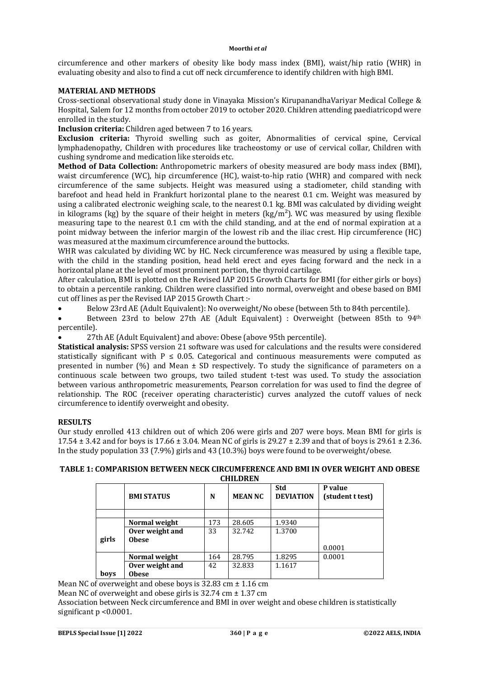circumference and other markers of obesity like body mass index (BMI), waist/hip ratio (WHR) in evaluating obesity and also to find a cut off neck circumference to identify children with high BMI.

## **MATERIAL AND METHODS**

Cross-sectional observational study done in Vinayaka Mission's KirupanandhaVariyar Medical College & Hospital, Salem for 12 months from october 2019 to october 2020. Children attending paediatricopd were enrolled in the study.

**Inclusion criteria:** Children aged between 7 to 16 years.

**Exclusion criteria:** Thyroid swelling such as goiter. Abnormalities of cervical spine, Cervical lymphadenopathy, Children with procedures like tracheostomy or use of cervical collar, Children with cushing syndrome and medication like steroids etc.

**Method of Data Collection:** Anthropometric markers of obesity measured are body mass index (BMI), waist circumference (WC), hip circumference (HC), waist-to-hip ratio (WHR) and compared with neck circumference of the same subjects. Height was measured using a stadiometer, child standing with barefoot and head held in Frankfurt horizontal plane to the nearest 0.1 cm. Weight was measured by using a calibrated electronic weighing scale, to the nearest 0.1 kg. BMI was calculated by dividing weight in kilograms (kg) by the square of their height in meters (kg/m<sup>2</sup>). WC was measured by using flexible measuring tape to the nearest 0.1 cm with the child standing, and at the end of normal expiration at a point midway between the inferior margin of the lowest rib and the iliac crest. Hip circumference (HC) was measured at the maximum circumference around the buttocks.

WHR was calculated by dividing WC by HC. Neck circumference was measured by using a flexible tape. with the child in the standing position, head held erect and eyes facing forward and the neck in a horizontal plane at the level of most prominent portion, the thyroid cartilage.

After calculation, BMI is plotted on the Revised IAP 2015 Growth Charts for BMI (for either girls or boys) to obtain a percentile ranking. Children were classified into normal, overweight and obese based on BMI cut off lines as per the Revised IAP 2015 Growth Chart :-

Below 23rd AE (Adult Equivalent): No overweight/No obese (between 5th to 84th percentile).

 Between 23rd to below 27th AE (Adult Equivalent) : Overweight (between 85th to 94th percentile).

27th AE (Adult Equivalent) and above: Obese (above 95th percentile).

**Statistical analysis:** SPSS version 21 software was used for calculations and the results were considered statistically significant with  $P \le 0.05$ . Categorical and continuous measurements were computed as presented in number (%) and Mean  $\pm$  SD respectively. To study the significance of parameters on a continuous scale between two groups, two tailed student t-test was used. To study the association between various anthropometric measurements, Pearson correlation for was used to find the degree of relationship. The ROC (receiver operating characteristic) curves analyzed the cutoff values of neck circumference to identify overweight and obesity.

## **RESULTS**

Our study enrolled 413 children out of which 206 were girls and 207 were boys. Mean BMI for girls is 17.54 ± 3.42 and for boys is 17.66 ± 3.04. Mean NC of girls is 29.27 ± 2.39 and that of boys is 29.61 ± 2.36. In the study population 33 (7.9%) girls and 43 (10.3%) boys were found to be overweight/obese.

| TABLE 1: COMPARISION BETWEEN NECK CIRCUMFERENCE AND BMI IN OVER WEIGHT AND OBESE |
|----------------------------------------------------------------------------------|
| <b>CHILDREN</b>                                                                  |

|       | <b>BMI STATUS</b> | N   | <b>MEAN NC</b> | <b>Std</b><br><b>DEVIATION</b> | P value<br>(student t test) |
|-------|-------------------|-----|----------------|--------------------------------|-----------------------------|
|       |                   |     |                |                                |                             |
|       | Normal weight     | 173 | 28.605         | 1.9340                         |                             |
|       | Over weight and   | 33  | 32.742         | 1.3700                         |                             |
| girls | <b>Obese</b>      |     |                |                                |                             |
|       |                   |     |                |                                | 0.0001                      |
|       | Normal weight     | 164 | 28.795         | 1.8295                         | 0.0001                      |
|       | Over weight and   | 42  | 32.833         | 1.1617                         |                             |
| boys  | Obese             |     |                |                                |                             |

Mean NC of overweight and obese boys is 32.83 cm  $\pm$  1.16 cm

Mean NC of overweight and obese girls is  $32.74 \text{ cm} \pm 1.37 \text{ cm}$ 

Association between Neck circumference and BMI in over weight and obese children is statistically significant p <0.0001.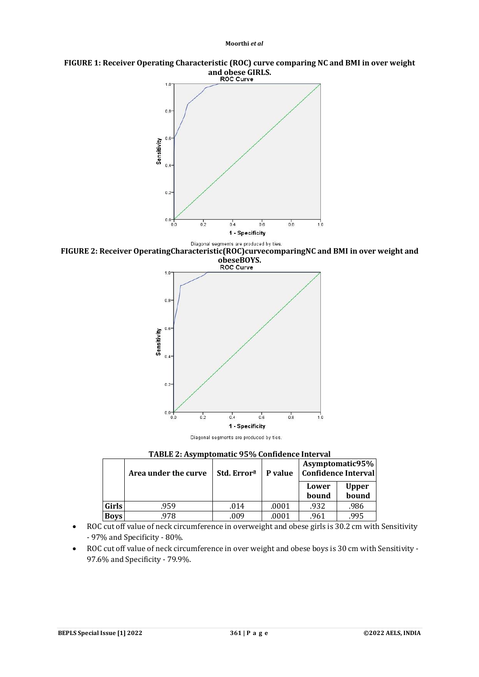## **FIGURE 1: Receiver Operating Characteristic (ROC) curve comparing NC and BMI in over weight and obese GIRLS.**



Diagonal segments are produced by ties. **FIGURE 2: Receiver OperatingCharacteristic(ROC)curvecomparingNC and BMI in over weight and obeseBOYS.**<br>ROC Curve



Diagonal segments are produced by ties.

**TABLE 2: Asymptomatic 95% Confidence Interval**

|             | Area under the curve | Std. Errorª | P value | Asymptomatic95%<br><b>Confidence Interval</b> |                       |
|-------------|----------------------|-------------|---------|-----------------------------------------------|-----------------------|
|             |                      |             |         | Lower<br>bound                                | <b>Upper</b><br>bound |
| Girls       | .959                 | .014        | .0001   | .932                                          | .986                  |
| <b>Boys</b> | .978                 | .009        | .0001   | .961                                          | .995                  |

- ROC cut off value of neck circumference in overweight and obese girls is 30.2 cm with Sensitivity - 97% and Specificity - 80%.
- ROC cut off value of neck circumference in over weight and obese boys is 30 cm with Sensitivity 97.6% and Specificity - 79.9%.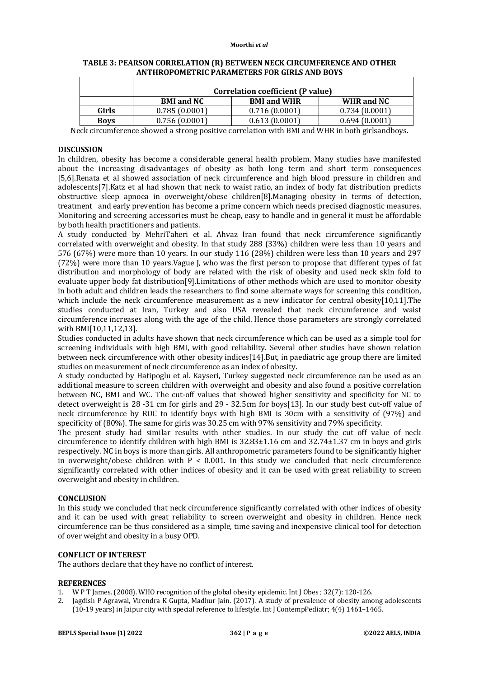| AN LANSE VALETNIS LANGARD DISPONSIBLE AND AND DOTO |                                   |                    |               |  |  |  |
|----------------------------------------------------|-----------------------------------|--------------------|---------------|--|--|--|
|                                                    | Correlation coefficient (P value) |                    |               |  |  |  |
|                                                    | <b>BMI</b> and NC                 | <b>BMI</b> and WHR | WHR and NC    |  |  |  |
| Girls                                              | 0.785(0.0001)                     | 0.716(0.0001)      | 0.734(0.0001) |  |  |  |
| <b>Boys</b>                                        | 0.756(0.0001)                     | 0.613(0.0001)      | 0.694(0.0001) |  |  |  |

#### **TABLE 3: PEARSON CORRELATION (R) BETWEEN NECK CIRCUMFERENCE AND OTHER ANTHROPOMETRIC PARAMETERS FOR GIRLS AND BOYS**

Neck circumference showed a strong positive correlation with BMI and WHR in both girlsandboys.

## **DISCUSSION**

In children, obesity has become a considerable general health problem. Many studies have manifested about the increasing disadvantages of obesity as both long term and short term consequences [5,6].Renata et al showed association of neck circumference and high blood pressure in children and adolescents[7].Katz et al had shown that neck to waist ratio, an index of body fat distribution predicts obstructive sleep apnoea in overweight/obese children[8].Managing obesity in terms of detection, treatment and early prevention has become a prime concern which needs precised diagnostic measures. Monitoring and screening accessories must be cheap, easy to handle and in general it must be affordable by both health practitioners and patients.

A study conducted by MehriTaheri et al. Ahvaz Iran found that neck circumference significantly correlated with overweight and obesity. In that study 288 (33%) children were less than 10 years and 576 (67%) were more than 10 years. In our study 116 (28%) children were less than 10 years and 297 (72%) were more than 10 years.Vague J, who was the first person to propose that different types of fat distribution and morphology of body are related with the risk of obesity and used neck skin fold to evaluate upper body fat distribution[9].Limitations of other methods which are used to monitor obesity in both adult and children leads the researchers to find some alternate ways for screening this condition, which include the neck circumference measurement as a new indicator for central obesity[10,11]. The studies conducted at Iran, Turkey and also USA revealed that neck circumference and waist circumference increases along with the age of the child. Hence those parameters are strongly correlated with BMI[10,11,12,13].

Studies conducted in adults have shown that neck circumference which can be used as a simple tool for screening individuals with high BMI, with good reliability. Several other studies have shown relation between neck circumference with other obesity indices[14].But, in paediatric age group there are limited studies on measurement of neck circumference as an index of obesity.

A study conducted by Hatipoglu et al. Kayseri, Turkey suggested neck circumference can be used as an additional measure to screen children with overweight and obesity and also found a positive correlation between NC, BMI and WC. The cut-off values that showed higher sensitivity and specificity for NC to detect overweight is 28 -31 cm for girls and 29 - 32.5cm for boys[13]. In our study best cut-off value of neck circumference by ROC to identify boys with high BMI is 30cm with a sensitivity of (97%) and specificity of (80%). The same for girls was 30.25 cm with 97% sensitivity and 79% specificity.

The present study had similar results with other studies. In our study the cut off value of neck circumference to identify children with high BMI is 32.83±1.16 cm and 32.74±1.37 cm in boys and girls respectively. NC in boys is more than girls. All anthropometric parameters found to be significantly higher in overweight/obese children with  $P < 0.001$ . In this study we concluded that neck circumference significantly correlated with other indices of obesity and it can be used with great reliability to screen overweight and obesity in children.

## **CONCLUSION**

In this study we concluded that neck circumference significantly correlated with other indices of obesity and it can be used with great reliability to screen overweight and obesity in children. Hence neck circumference can be thus considered as a simple, time saving and inexpensive clinical tool for detection of over weight and obesity in a busy OPD.

## **CONFLICT OF INTEREST**

The authors declare that they have no conflict of interest.

## **REFERENCES**

- 1. W P T James. (2008). WHO recognition of the global obesity epidemic. Int J Obes ; 32(7): 120-126.
- 2. Jagdish P Agrawal, Virendra K Gupta, Madhur Jain. (2017). A study of prevalence of obesity among adolescents (10-19 years) in Jaipur city with special reference to lifestyle. Int J ContempPediatr; 4(4) 1461–1465.